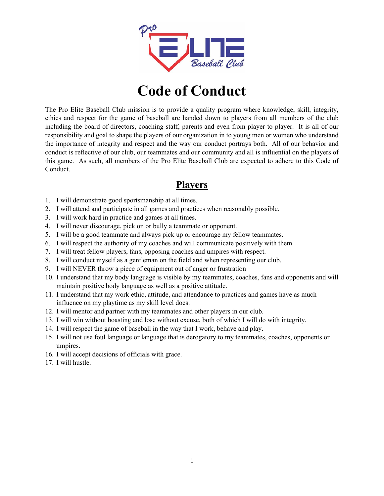

# **Code of Conduct**

The Pro Elite Baseball Club mission is to provide a quality program where knowledge, skill, integrity, ethics and respect for the game of baseball are handed down to players from all members of the club including the board of directors, coaching staff, parents and even from player to player. It is all of our responsibility and goal to shape the players of our organization in to young men or women who understand the importance of integrity and respect and the way our conduct portrays both. All of our behavior and conduct is reflective of our club, our teammates and our community and all is influential on the players of this game. As such, all members of the Pro Elite Baseball Club are expected to adhere to this Code of Conduct.

#### **Players**

- 1. I will demonstrate good sportsmanship at all times.
- 2. I will attend and participate in all games and practices when reasonably possible.
- 3. I will work hard in practice and games at all times.
- 4. I will never discourage, pick on or bully a teammate or opponent.
- 5. I will be a good teammate and always pick up or encourage my fellow teammates.
- 6. I will respect the authority of my coaches and will communicate positively with them.
- 7. I will treat fellow players, fans, opposing coaches and umpires with respect.
- 8. I will conduct myself as a gentleman on the field and when representing our club.
- 9. I will NEVER throw a piece of equipment out of anger or frustration
- 10. I understand that my body language is visible by my teammates, coaches, fans and opponents and will maintain positive body language as well as a positive attitude.
- 11. I understand that my work ethic, attitude, and attendance to practices and games have as much influence on my playtime as my skill level does.
- 12. I will mentor and partner with my teammates and other players in our club.
- 13. I will win without boasting and lose without excuse, both of which I will do with integrity.
- 14. I will respect the game of baseball in the way that I work, behave and play.
- 15. I will not use foul language or language that is derogatory to my teammates, coaches, opponents or umpires.
- 16. I will accept decisions of officials with grace.
- 17. I will hustle.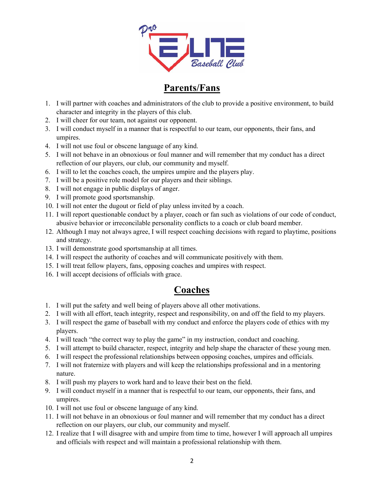

## **Parents/Fans**

- 1. I will partner with coaches and administrators of the club to provide a positive environment, to build character and integrity in the players of this club.
- 2. I will cheer for our team, not against our opponent.
- 3. I will conduct myself in a manner that is respectful to our team, our opponents, their fans, and umpires.
- 4. I will not use foul or obscene language of any kind.
- 5. I will not behave in an obnoxious or foul manner and will remember that my conduct has a direct reflection of our players, our club, our community and myself.
- 6. I will to let the coaches coach, the umpires umpire and the players play.
- 7. I will be a positive role model for our players and their siblings.
- 8. I will not engage in public displays of anger.
- 9. I will promote good sportsmanship.
- 10. I will not enter the dugout or field of play unless invited by a coach.
- 11. I will report questionable conduct by a player, coach or fan such as violations of our code of conduct, abusive behavior or irreconcilable personality conflicts to a coach or club board member.
- 12. Although I may not always agree, I will respect coaching decisions with regard to playtime, positions and strategy.
- 13. I will demonstrate good sportsmanship at all times.
- 14. I will respect the authority of coaches and will communicate positively with them.
- 15. I will treat fellow players, fans, opposing coaches and umpires with respect.
- 16. I will accept decisions of officials with grace.

### **Coaches**

- 1. I will put the safety and well being of players above all other motivations.
- 2. I will with all effort, teach integrity, respect and responsibility, on and off the field to my players.
- 3. I will respect the game of baseball with my conduct and enforce the players code of ethics with my players.
- 4. I will teach "the correct way to play the game" in my instruction, conduct and coaching.
- 5. I will attempt to build character, respect, integrity and help shape the character of these young men.
- 6. I will respect the professional relationships between opposing coaches, umpires and officials.
- 7. I will not fraternize with players and will keep the relationships professional and in a mentoring nature.
- 8. I will push my players to work hard and to leave their best on the field.
- 9. I will conduct myself in a manner that is respectful to our team, our opponents, their fans, and umpires.
- 10. I will not use foul or obscene language of any kind.
- 11. I will not behave in an obnoxious or foul manner and will remember that my conduct has a direct reflection on our players, our club, our community and myself.
- 12. I realize that I will disagree with and umpire from time to time, however I will approach all umpires and officials with respect and will maintain a professional relationship with them.